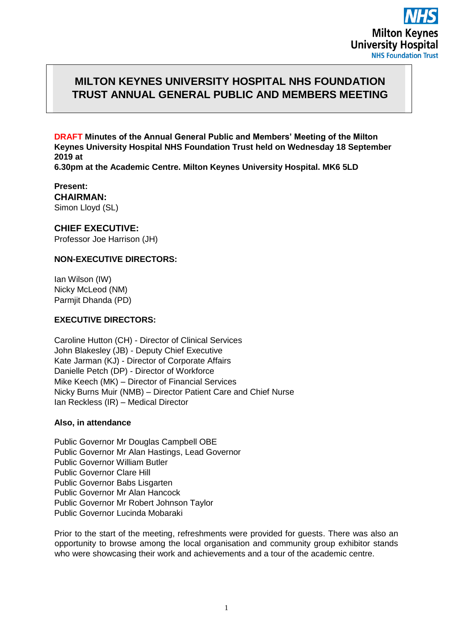## **MILTON KEYNES UNIVERSITY HOSPITAL NHS FOUNDATION TRUST ANNUAL GENERAL PUBLIC AND MEMBERS MEETING**

**DRAFT Minutes of the Annual General Public and Members' Meeting of the Milton Keynes University Hospital NHS Foundation Trust held on Wednesday 18 September 2019 at** 

**6.30pm at the Academic Centre. Milton Keynes University Hospital. MK6 5LD** 

**Present: CHAIRMAN:**  Simon Lloyd (SL)

**CHIEF EXECUTIVE:**  Professor Joe Harrison (JH)

## **NON-EXECUTIVE DIRECTORS:**

Ian Wilson (IW) Nicky McLeod (NM) Parmjit Dhanda (PD)

## **EXECUTIVE DIRECTORS:**

Caroline Hutton (CH) - Director of Clinical Services John Blakesley (JB) - Deputy Chief Executive Kate Jarman (KJ) - Director of Corporate Affairs Danielle Petch (DP) - Director of Workforce Mike Keech (MK) – Director of Financial Services Nicky Burns Muir (NMB) – Director Patient Care and Chief Nurse Ian Reckless (IR) – Medical Director

## **Also, in attendance**

Public Governor Mr Douglas Campbell OBE Public Governor Mr Alan Hastings, Lead Governor Public Governor William Butler Public Governor Clare Hill Public Governor Babs Lisgarten Public Governor Mr Alan Hancock Public Governor Mr Robert Johnson Taylor Public Governor Lucinda Mobaraki

Prior to the start of the meeting, refreshments were provided for guests. There was also an opportunity to browse among the local organisation and community group exhibitor stands who were showcasing their work and achievements and a tour of the academic centre.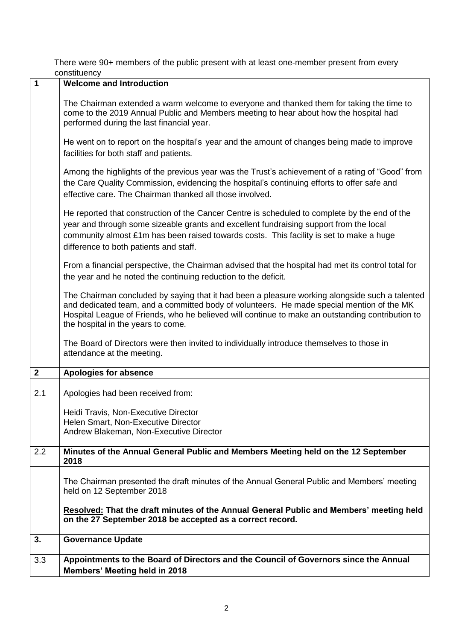|                         | <b>COLISTINGIICY</b>                                                                                                                                                                                                                                                                                                                  |
|-------------------------|---------------------------------------------------------------------------------------------------------------------------------------------------------------------------------------------------------------------------------------------------------------------------------------------------------------------------------------|
| 1                       | <b>Welcome and Introduction</b>                                                                                                                                                                                                                                                                                                       |
|                         | The Chairman extended a warm welcome to everyone and thanked them for taking the time to<br>come to the 2019 Annual Public and Members meeting to hear about how the hospital had<br>performed during the last financial year.                                                                                                        |
|                         | He went on to report on the hospital's year and the amount of changes being made to improve<br>facilities for both staff and patients.                                                                                                                                                                                                |
|                         | Among the highlights of the previous year was the Trust's achievement of a rating of "Good" from<br>the Care Quality Commission, evidencing the hospital's continuing efforts to offer safe and<br>effective care. The Chairman thanked all those involved.                                                                           |
|                         | He reported that construction of the Cancer Centre is scheduled to complete by the end of the<br>year and through some sizeable grants and excellent fundraising support from the local<br>community almost £1m has been raised towards costs. This facility is set to make a huge<br>difference to both patients and staff.          |
|                         | From a financial perspective, the Chairman advised that the hospital had met its control total for<br>the year and he noted the continuing reduction to the deficit.                                                                                                                                                                  |
|                         | The Chairman concluded by saying that it had been a pleasure working alongside such a talented<br>and dedicated team, and a committed body of volunteers. He made special mention of the MK<br>Hospital League of Friends, who he believed will continue to make an outstanding contribution to<br>the hospital in the years to come. |
|                         | The Board of Directors were then invited to individually introduce themselves to those in<br>attendance at the meeting.                                                                                                                                                                                                               |
| $\overline{\mathbf{2}}$ | <b>Apologies for absence</b>                                                                                                                                                                                                                                                                                                          |
| 2.1                     | Apologies had been received from:                                                                                                                                                                                                                                                                                                     |
|                         | Heidi Travis, Non-Executive Director<br>Helen Smart, Non-Executive Director<br>Andrew Blakeman, Non-Executive Director                                                                                                                                                                                                                |
| 2.2                     | Minutes of the Annual General Public and Members Meeting held on the 12 September<br>2018                                                                                                                                                                                                                                             |
|                         | The Chairman presented the draft minutes of the Annual General Public and Members' meeting<br>held on 12 September 2018                                                                                                                                                                                                               |
|                         | Resolved: That the draft minutes of the Annual General Public and Members' meeting held<br>on the 27 September 2018 be accepted as a correct record.                                                                                                                                                                                  |
| 3.                      | <b>Governance Update</b>                                                                                                                                                                                                                                                                                                              |
| 3.3                     | Appointments to the Board of Directors and the Council of Governors since the Annual<br><b>Members' Meeting held in 2018</b>                                                                                                                                                                                                          |

There were 90+ members of the public present with at least one-member present from every constituency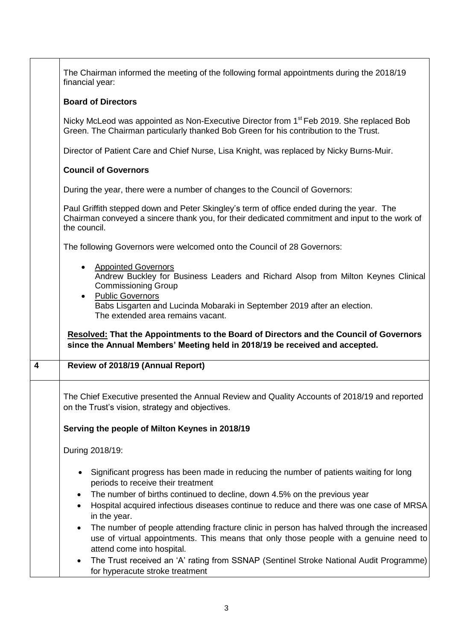|                         | The Chairman informed the meeting of the following formal appointments during the 2018/19<br>financial year:                                                                                                                                                                                                                                   |
|-------------------------|------------------------------------------------------------------------------------------------------------------------------------------------------------------------------------------------------------------------------------------------------------------------------------------------------------------------------------------------|
|                         | <b>Board of Directors</b>                                                                                                                                                                                                                                                                                                                      |
|                         | Nicky McLeod was appointed as Non-Executive Director from 1 <sup>st</sup> Feb 2019. She replaced Bob<br>Green. The Chairman particularly thanked Bob Green for his contribution to the Trust.                                                                                                                                                  |
|                         | Director of Patient Care and Chief Nurse, Lisa Knight, was replaced by Nicky Burns-Muir.                                                                                                                                                                                                                                                       |
|                         | <b>Council of Governors</b>                                                                                                                                                                                                                                                                                                                    |
|                         | During the year, there were a number of changes to the Council of Governors:                                                                                                                                                                                                                                                                   |
|                         | Paul Griffith stepped down and Peter Skingley's term of office ended during the year. The<br>Chairman conveyed a sincere thank you, for their dedicated commitment and input to the work of<br>the council.                                                                                                                                    |
|                         | The following Governors were welcomed onto the Council of 28 Governors:                                                                                                                                                                                                                                                                        |
|                         | <b>Appointed Governors</b><br>Andrew Buckley for Business Leaders and Richard Alsop from Milton Keynes Clinical<br><b>Commissioning Group</b><br><b>Public Governors</b>                                                                                                                                                                       |
|                         | Babs Lisgarten and Lucinda Mobaraki in September 2019 after an election.<br>The extended area remains vacant.                                                                                                                                                                                                                                  |
|                         | <b>Resolved: That the Appointments to the Board of Directors and the Council of Governors</b><br>since the Annual Members' Meeting held in 2018/19 be received and accepted.                                                                                                                                                                   |
| $\overline{\mathbf{4}}$ | Review of 2018/19 (Annual Report)                                                                                                                                                                                                                                                                                                              |
|                         | The Chief Executive presented the Annual Review and Quality Accounts of 2018/19 and reported<br>on the Trust's vision, strategy and objectives.                                                                                                                                                                                                |
|                         | Serving the people of Milton Keynes in 2018/19                                                                                                                                                                                                                                                                                                 |
|                         | During 2018/19:                                                                                                                                                                                                                                                                                                                                |
|                         | Significant progress has been made in reducing the number of patients waiting for long<br>periods to receive their treatment<br>The number of births continued to decline, down 4.5% on the previous year<br>$\bullet$<br>Hospital acquired infectious diseases continue to reduce and there was one case of MRSA<br>$\bullet$<br>in the year. |
|                         | The number of people attending fracture clinic in person has halved through the increased<br>$\bullet$<br>use of virtual appointments. This means that only those people with a genuine need to<br>attend come into hospital.                                                                                                                  |
|                         | The Trust received an 'A' rating from SSNAP (Sentinel Stroke National Audit Programme)<br>$\bullet$<br>for hyperacute stroke treatment                                                                                                                                                                                                         |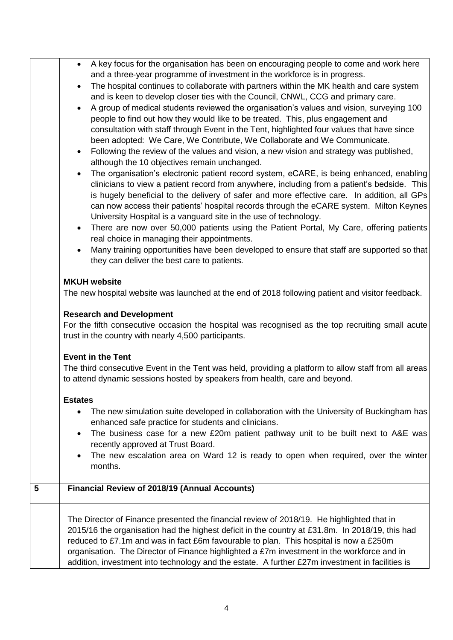|   | A key focus for the organisation has been on encouraging people to come and work here<br>$\bullet$<br>and a three-year programme of investment in the workforce is in progress.                                                                                                       |
|---|---------------------------------------------------------------------------------------------------------------------------------------------------------------------------------------------------------------------------------------------------------------------------------------|
|   | The hospital continues to collaborate with partners within the MK health and care system<br>$\bullet$                                                                                                                                                                                 |
|   | and is keen to develop closer ties with the Council, CNWL, CCG and primary care.                                                                                                                                                                                                      |
|   | A group of medical students reviewed the organisation's values and vision, surveying 100                                                                                                                                                                                              |
|   | people to find out how they would like to be treated. This, plus engagement and                                                                                                                                                                                                       |
|   | consultation with staff through Event in the Tent, highlighted four values that have since                                                                                                                                                                                            |
|   | been adopted: We Care, We Contribute, We Collaborate and We Communicate.                                                                                                                                                                                                              |
|   | Following the review of the values and vision, a new vision and strategy was published,<br>$\bullet$<br>although the 10 objectives remain unchanged.                                                                                                                                  |
|   | The organisation's electronic patient record system, eCARE, is being enhanced, enabling<br>$\bullet$                                                                                                                                                                                  |
|   | clinicians to view a patient record from anywhere, including from a patient's bedside. This<br>is hugely beneficial to the delivery of safer and more effective care. In addition, all GPs<br>can now access their patients' hospital records through the eCARE system. Milton Keynes |
|   | University Hospital is a vanguard site in the use of technology.                                                                                                                                                                                                                      |
|   | There are now over 50,000 patients using the Patient Portal, My Care, offering patients<br>$\bullet$                                                                                                                                                                                  |
|   | real choice in managing their appointments.                                                                                                                                                                                                                                           |
|   | Many training opportunities have been developed to ensure that staff are supported so that<br>they can deliver the best care to patients.                                                                                                                                             |
|   |                                                                                                                                                                                                                                                                                       |
|   | <b>MKUH</b> website                                                                                                                                                                                                                                                                   |
|   | The new hospital website was launched at the end of 2018 following patient and visitor feedback.                                                                                                                                                                                      |
|   |                                                                                                                                                                                                                                                                                       |
|   | <b>Research and Development</b>                                                                                                                                                                                                                                                       |
|   | For the fifth consecutive occasion the hospital was recognised as the top recruiting small acute                                                                                                                                                                                      |
|   | trust in the country with nearly 4,500 participants.                                                                                                                                                                                                                                  |
|   |                                                                                                                                                                                                                                                                                       |
|   | <b>Event in the Tent</b>                                                                                                                                                                                                                                                              |
|   | The third consecutive Event in the Tent was held, providing a platform to allow staff from all areas<br>to attend dynamic sessions hosted by speakers from health, care and beyond.                                                                                                   |
|   |                                                                                                                                                                                                                                                                                       |
|   | <b>Estates</b>                                                                                                                                                                                                                                                                        |
|   | The new simulation suite developed in collaboration with the University of Buckingham has<br>$\bullet$                                                                                                                                                                                |
|   | enhanced safe practice for students and clinicians.                                                                                                                                                                                                                                   |
|   | The business case for a new £20m patient pathway unit to be built next to A&E was                                                                                                                                                                                                     |
|   | recently approved at Trust Board.                                                                                                                                                                                                                                                     |
|   | The new escalation area on Ward 12 is ready to open when required, over the winter                                                                                                                                                                                                    |
|   | months.                                                                                                                                                                                                                                                                               |
|   |                                                                                                                                                                                                                                                                                       |
| 5 | Financial Review of 2018/19 (Annual Accounts)                                                                                                                                                                                                                                         |
|   |                                                                                                                                                                                                                                                                                       |
|   | The Director of Finance presented the financial review of 2018/19. He highlighted that in                                                                                                                                                                                             |
|   | 2015/16 the organisation had the highest deficit in the country at £31.8m. In 2018/19, this had                                                                                                                                                                                       |
|   | reduced to £7.1m and was in fact £6m favourable to plan. This hospital is now a £250m                                                                                                                                                                                                 |
|   | organisation. The Director of Finance highlighted a £7m investment in the workforce and in                                                                                                                                                                                            |
|   | addition, investment into technology and the estate. A further £27m investment in facilities is                                                                                                                                                                                       |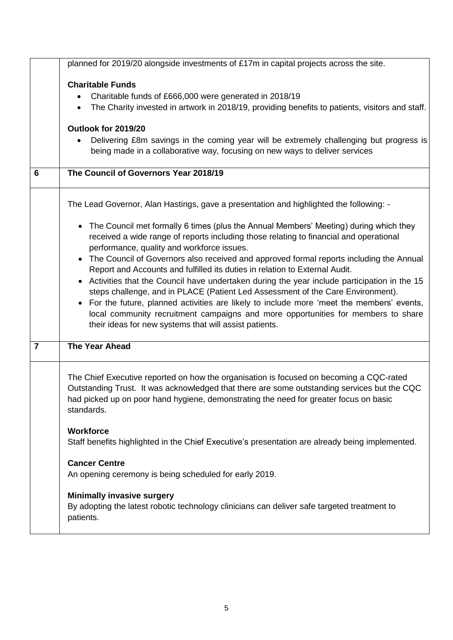|                | planned for 2019/20 alongside investments of £17m in capital projects across the site.                                                                                                                                                                                                                                                                                                                                                                                                                                                                                                               |
|----------------|------------------------------------------------------------------------------------------------------------------------------------------------------------------------------------------------------------------------------------------------------------------------------------------------------------------------------------------------------------------------------------------------------------------------------------------------------------------------------------------------------------------------------------------------------------------------------------------------------|
|                | <b>Charitable Funds</b><br>Charitable funds of £666,000 were generated in 2018/19<br>The Charity invested in artwork in 2018/19, providing benefits to patients, visitors and staff.<br>Outlook for 2019/20<br>Delivering £8m savings in the coming year will be extremely challenging but progress is<br>being made in a collaborative way, focusing on new ways to deliver services                                                                                                                                                                                                                |
| 6              | The Council of Governors Year 2018/19                                                                                                                                                                                                                                                                                                                                                                                                                                                                                                                                                                |
|                | The Lead Governor, Alan Hastings, gave a presentation and highlighted the following: -<br>• The Council met formally 6 times (plus the Annual Members' Meeting) during which they<br>received a wide range of reports including those relating to financial and operational<br>performance, quality and workforce issues.<br>The Council of Governors also received and approved formal reports including the Annual<br>Report and Accounts and fulfilled its duties in relation to External Audit.<br>• Activities that the Council have undertaken during the year include participation in the 15 |
|                | steps challenge, and in PLACE (Patient Led Assessment of the Care Environment).<br>• For the future, planned activities are likely to include more 'meet the members' events,<br>local community recruitment campaigns and more opportunities for members to share<br>their ideas for new systems that will assist patients.                                                                                                                                                                                                                                                                         |
| $\overline{7}$ | <b>The Year Ahead</b>                                                                                                                                                                                                                                                                                                                                                                                                                                                                                                                                                                                |
|                | The Chief Executive reported on how the organisation is focused on becoming a CQC-rated<br>Outstanding Trust. It was acknowledged that there are some outstanding services but the CQC<br>had picked up on poor hand hygiene, demonstrating the need for greater focus on basic<br>standards.                                                                                                                                                                                                                                                                                                        |
|                | <b>Workforce</b><br>Staff benefits highlighted in the Chief Executive's presentation are already being implemented.                                                                                                                                                                                                                                                                                                                                                                                                                                                                                  |
|                | <b>Cancer Centre</b><br>An opening ceremony is being scheduled for early 2019.                                                                                                                                                                                                                                                                                                                                                                                                                                                                                                                       |
|                | <b>Minimally invasive surgery</b><br>By adopting the latest robotic technology clinicians can deliver safe targeted treatment to<br>patients.                                                                                                                                                                                                                                                                                                                                                                                                                                                        |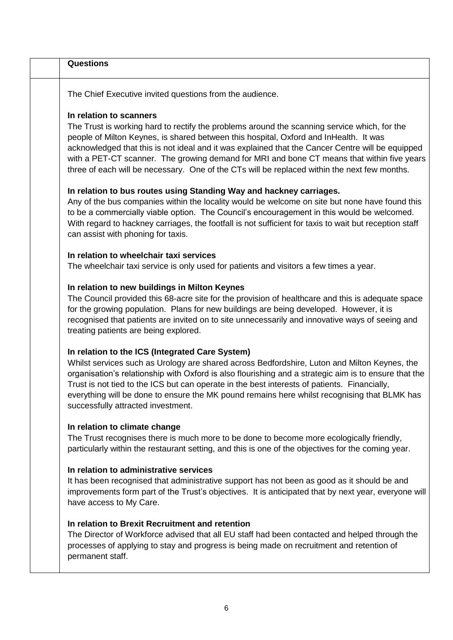| <b>Questions</b>                                                                                                                                                                                                                                                                                                                                                                                                                                                                                                   |
|--------------------------------------------------------------------------------------------------------------------------------------------------------------------------------------------------------------------------------------------------------------------------------------------------------------------------------------------------------------------------------------------------------------------------------------------------------------------------------------------------------------------|
| The Chief Executive invited questions from the audience.                                                                                                                                                                                                                                                                                                                                                                                                                                                           |
| In relation to scanners<br>The Trust is working hard to rectify the problems around the scanning service which, for the<br>people of Milton Keynes, is shared between this hospital, Oxford and InHealth. It was<br>acknowledged that this is not ideal and it was explained that the Cancer Centre will be equipped<br>with a PET-CT scanner. The growing demand for MRI and bone CT means that within five years<br>three of each will be necessary. One of the CTs will be replaced within the next few months. |
| In relation to bus routes using Standing Way and hackney carriages.<br>Any of the bus companies within the locality would be welcome on site but none have found this<br>to be a commercially viable option. The Council's encouragement in this would be welcomed.<br>With regard to hackney carriages, the footfall is not sufficient for taxis to wait but reception staff<br>can assist with phoning for taxis.                                                                                                |
| In relation to wheelchair taxi services<br>The wheelchair taxi service is only used for patients and visitors a few times a year.                                                                                                                                                                                                                                                                                                                                                                                  |
| In relation to new buildings in Milton Keynes<br>The Council provided this 68-acre site for the provision of healthcare and this is adequate space<br>for the growing population. Plans for new buildings are being developed. However, it is<br>recognised that patients are invited on to site unnecessarily and innovative ways of seeing and<br>treating patients are being explored.                                                                                                                          |
| In relation to the ICS (Integrated Care System)<br>Whilst services such as Urology are shared across Bedfordshire, Luton and Milton Keynes, the<br>organisation's relationship with Oxford is also flourishing and a strategic aim is to ensure that the<br>Trust is not tied to the ICS but can operate in the best interests of patients. Financially,<br>everything will be done to ensure the MK pound remains here whilst recognising that BLMK has<br>successfully attracted investment.                     |
| In relation to climate change<br>The Trust recognises there is much more to be done to become more ecologically friendly,<br>particularly within the restaurant setting, and this is one of the objectives for the coming year.                                                                                                                                                                                                                                                                                    |
| In relation to administrative services<br>It has been recognised that administrative support has not been as good as it should be and<br>improvements form part of the Trust's objectives. It is anticipated that by next year, everyone will<br>have access to My Care.                                                                                                                                                                                                                                           |
| In relation to Brexit Recruitment and retention<br>The Director of Workforce advised that all EU staff had been contacted and helped through the<br>processes of applying to stay and progress is being made on recruitment and retention of<br>permanent staff.                                                                                                                                                                                                                                                   |
|                                                                                                                                                                                                                                                                                                                                                                                                                                                                                                                    |